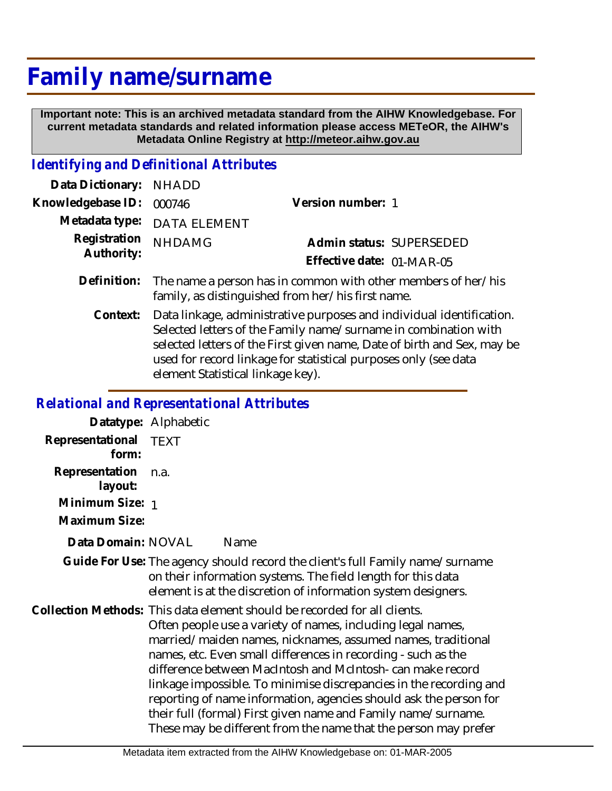## **Family name/surname**

 **Important note: This is an archived metadata standard from the AIHW Knowledgebase. For current metadata standards and related information please access METeOR, the AIHW's Metadata Online Registry at http://meteor.aihw.gov.au**

## *Identifying and Definitional Attributes*

| Data Dictionary: NHADD   |                                                                           |                           |                          |
|--------------------------|---------------------------------------------------------------------------|---------------------------|--------------------------|
| Knowledgebase ID: 000746 |                                                                           | Version number: 1         |                          |
|                          | Metadata type: DATA ELEMENT                                               |                           |                          |
| Registration NHDAMG      |                                                                           |                           | Admin status: SUPERSEDED |
| Authority:               |                                                                           | Effective date: 01-MAR-05 |                          |
|                          | Definition: The name a person has in common with other members of her/his |                           |                          |

- family, as distinguished from her/his first name. Data linkage, administrative purposes and individual identification. Selected letters of the Family name/surname in combination with selected letters of the First given name, Date of birth and Sex, may be **Context:**
	- used for record linkage for statistical purposes only (see data element Statistical linkage key).

## *Relational and Representational Attributes*

|                           | Datatype: Alphabetic                                                                                                                                                                                                                                                                                                                                                                                                                                                                                                                                                                                                 |  |
|---------------------------|----------------------------------------------------------------------------------------------------------------------------------------------------------------------------------------------------------------------------------------------------------------------------------------------------------------------------------------------------------------------------------------------------------------------------------------------------------------------------------------------------------------------------------------------------------------------------------------------------------------------|--|
| Representational<br>form: | <b>TEXT</b>                                                                                                                                                                                                                                                                                                                                                                                                                                                                                                                                                                                                          |  |
| Representation<br>layout: | n.a.                                                                                                                                                                                                                                                                                                                                                                                                                                                                                                                                                                                                                 |  |
| Minimum Size: 1           |                                                                                                                                                                                                                                                                                                                                                                                                                                                                                                                                                                                                                      |  |
| Maximum Size:             |                                                                                                                                                                                                                                                                                                                                                                                                                                                                                                                                                                                                                      |  |
| Data Domain: NOVAL        | Name                                                                                                                                                                                                                                                                                                                                                                                                                                                                                                                                                                                                                 |  |
|                           | Guide For Use: The agency should record the client's full Family name/surname<br>on their information systems. The field length for this data<br>element is at the discretion of information system designers.                                                                                                                                                                                                                                                                                                                                                                                                       |  |
|                           | Collection Methods: This data element should be recorded for all clients.<br>Often people use a variety of names, including legal names,<br>married/maiden names, nicknames, assumed names, traditional<br>names, etc. Even small differences in recording - such as the<br>difference between MacIntosh and McIntosh-can make record<br>linkage impossible. To minimise discrepancies in the recording and<br>reporting of name information, agencies should ask the person for<br>their full (formal) First given name and Family name/surname.<br>These may be different from the name that the person may prefer |  |